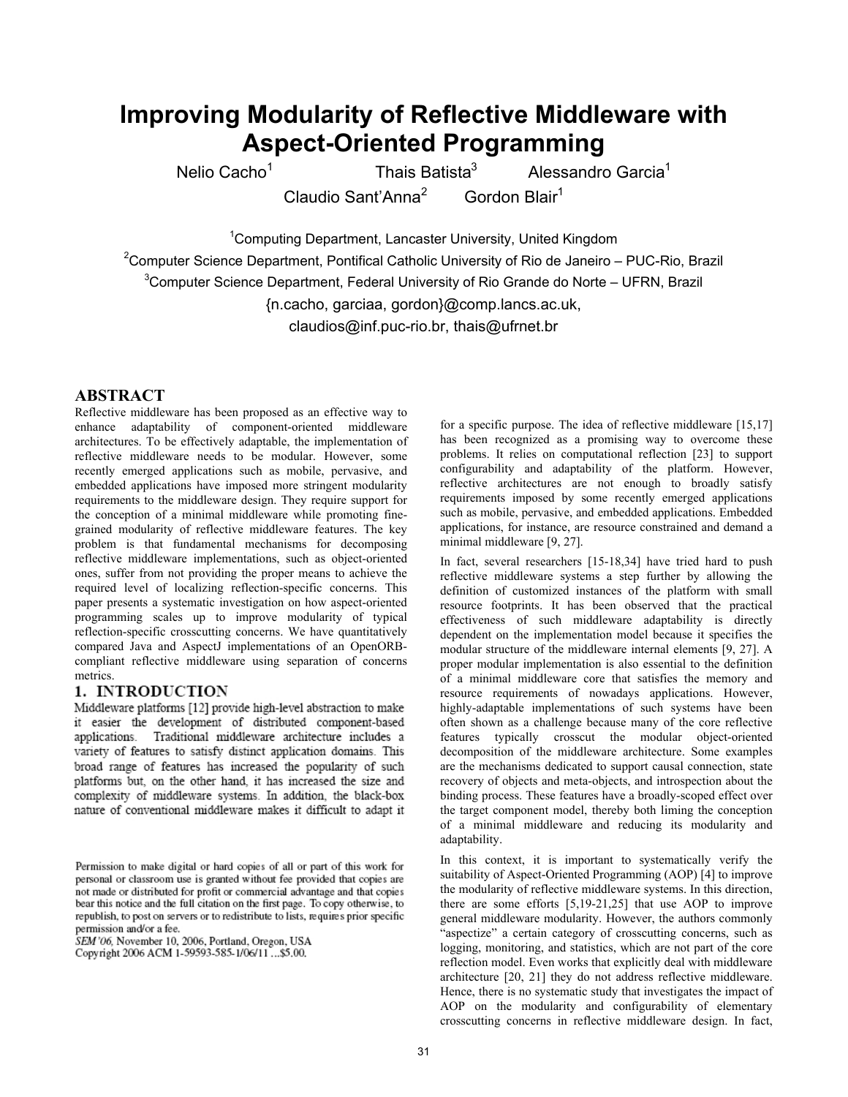# **Improving Modularity of Reflective Middleware with Aspect-Oriented Programming**

Nelio Cacho<sup>1</sup>

Thais Batista $3$ Claudio Sant'Anna<sup>2</sup>

Alessandro Garcia<sup>1</sup> Gordon Blair<sup>1</sup>

<sup>1</sup>Computing Department, Lancaster University, United Kingdom <sup>2</sup>Computer Science Department, Pontifical Catholic University of Rio de Janeiro – PUC-Rio, Brazil  $3$ Computer Science Department, Federal University of Rio Grande do Norte – UFRN, Brazil {n.cacho, garciaa, gordon}@comp.lancs.ac.uk, claudios@inf.puc-rio.br, thais@ufrnet.br

### **ABSTRACT**

Reflective middleware has been proposed as an effective way to enhance adaptability of component-oriented middleware architectures. To be effectively adaptable, the implementation of reflective middleware needs to be modular. However, some recently emerged applications such as mobile, pervasive, and embedded applications have imposed more stringent modularity requirements to the middleware design. They require support for the conception of a minimal middleware while promoting finegrained modularity of reflective middleware features. The key problem is that fundamental mechanisms for decomposing reflective middleware implementations, such as object-oriented ones, suffer from not providing the proper means to achieve the required level of localizing reflection-specific concerns. This paper presents a systematic investigation on how aspect-oriented programming scales up to improve modularity of typical reflection-specific crosscutting concerns. We have quantitatively compared Java and AspectJ implementations of an OpenORBcompliant reflective middleware using separation of concerns metrics.

#### 1. INTRODUCTION

Middleware platforms [12] provide high-level abstraction to make it easier the development of distributed component-based applications. Traditional middleware architecture includes a variety of features to satisfy distinct application domains. This broad range of features has increased the popularity of such platforms but, on the other hand, it has increased the size and complexity of middleware systems. In addition, the black-box nature of conventional middleware makes it difficult to adapt it

SEM'06, November 10, 2006, Portland, Oregon, USA

Copyright 2006 ACM 1-59593-585-1/06/11 ... \$5.00.  $\mathbf{b}$  range of features has increased the popularity of such such as increased the popularity of such as  $\mathbf{b}$ 

for a specific purpose. The idea of reflective middleware [15,17] has been recognized as a promising way to overcome these problems. It relies on computational reflection [23] to support configurability and adaptability of the platform. However, reflective architectures are not enough to broadly satisfy requirements imposed by some recently emerged applications such as mobile, pervasive, and embedded applications. Embedded applications, for instance, are resource constrained and demand a minimal middleware [9, 27].

In fact, several researchers [15-18,34] have tried hard to push reflective middleware systems a step further by allowing the definition of customized instances of the platform with small resource footprints. It has been observed that the practical effectiveness of such middleware adaptability is directly dependent on the implementation model because it specifies the modular structure of the middleware internal elements [9, 27]. A proper modular implementation is also essential to the definition of a minimal middleware core that satisfies the memory and resource requirements of nowadays applications. However, highly-adaptable implementations of such systems have been often shown as a challenge because many of the core reflective features typically crosscut the modular object-oriented decomposition of the middleware architecture. Some examples are the mechanisms dedicated to support causal connection, state recovery of objects and meta-objects, and introspection about the binding process. These features have a broadly-scoped effect over the target component model, thereby both liming the conception of a minimal middleware and reducing its modularity and adaptability.

In this context, it is important to systematically verify the suitability of Aspect-Oriented Programming (AOP) [4] to improve the modularity of reflective middleware systems. In this direction, there are some efforts [5,19-21,25] that use AOP to improve general middleware modularity. However, the authors commonly "aspectize" a certain category of crosscutting concerns, such as logging, monitoring, and statistics, which are not part of the core reflection model. Even works that explicitly deal with middleware architecture [20, 21] they do not address reflective middleware. Hence, there is no systematic study that investigates the impact of AOP on the modularity and configurability of elementary crosscutting concerns in reflective middleware design. In fact,

Permission to make digital or hard copies of all or part of this work for personal or classroom use is granted without fee provided that copies are not made or distributed for profit or commercial advantage and that copies bear this notice and the full citation on the first page. To copy otherwise, to republish, to post on servers or to redistribute to lists, requires prior specific<br>permission and/or a fee.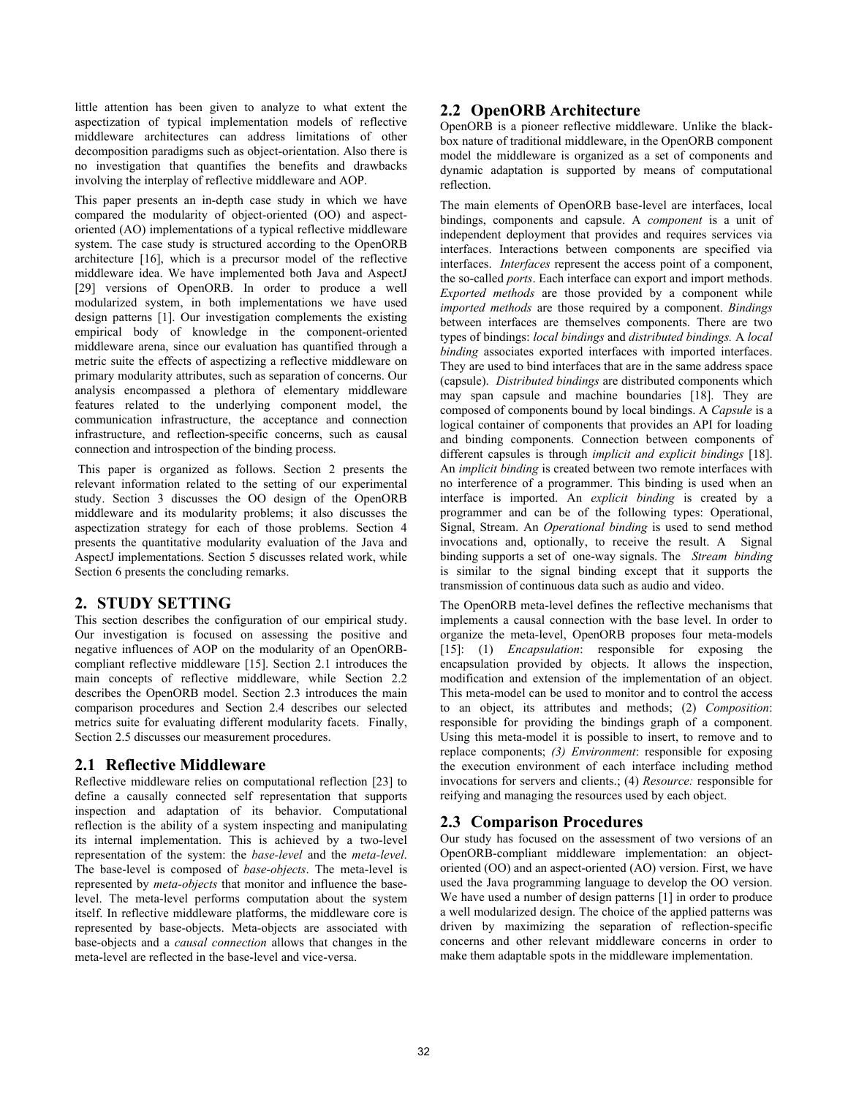little attention has been given to analyze to what extent the aspectization of typical implementation models of reflective middleware architectures can address limitations of other decomposition paradigms such as object-orientation. Also there is no investigation that quantifies the benefits and drawbacks involving the interplay of reflective middleware and AOP.

This paper presents an in-depth case study in which we have compared the modularity of object-oriented (OO) and aspectoriented (AO) implementations of a typical reflective middleware system. The case study is structured according to the OpenORB architecture [16], which is a precursor model of the reflective middleware idea. We have implemented both Java and AspectJ [29] versions of OpenORB. In order to produce a well modularized system, in both implementations we have used design patterns [1]. Our investigation complements the existing empirical body of knowledge in the component-oriented middleware arena, since our evaluation has quantified through a metric suite the effects of aspectizing a reflective middleware on primary modularity attributes, such as separation of concerns. Our analysis encompassed a plethora of elementary middleware features related to the underlying component model, the communication infrastructure, the acceptance and connection infrastructure, and reflection-specific concerns, such as causal connection and introspection of the binding process.

 This paper is organized as follows. Section 2 presents the relevant information related to the setting of our experimental study. Section 3 discusses the OO design of the OpenORB middleware and its modularity problems; it also discusses the aspectization strategy for each of those problems. Section 4 presents the quantitative modularity evaluation of the Java and AspectJ implementations. Section 5 discusses related work, while Section 6 presents the concluding remarks.

## **2. STUDY SETTING**

This section describes the configuration of our empirical study. Our investigation is focused on assessing the positive and negative influences of AOP on the modularity of an OpenORBcompliant reflective middleware [15]. Section 2.1 introduces the main concepts of reflective middleware, while Section 2.2 describes the OpenORB model. Section 2.3 introduces the main comparison procedures and Section 2.4 describes our selected metrics suite for evaluating different modularity facets. Finally, Section 2.5 discusses our measurement procedures.

## **2.1 Reflective Middleware**

Reflective middleware relies on computational reflection [23] to define a causally connected self representation that supports inspection and adaptation of its behavior. Computational reflection is the ability of a system inspecting and manipulating its internal implementation. This is achieved by a two-level representation of the system: the *base-level* and the *meta-level*. The base-level is composed of *base-objects*. The meta-level is represented by *meta-objects* that monitor and influence the baselevel. The meta-level performs computation about the system itself. In reflective middleware platforms, the middleware core is represented by base-objects. Meta-objects are associated with base-objects and a *causal connection* allows that changes in the meta-level are reflected in the base-level and vice-versa.

### **2.2 OpenORB Architecture**

OpenORB is a pioneer reflective middleware. Unlike the blackbox nature of traditional middleware, in the OpenORB component model the middleware is organized as a set of components and dynamic adaptation is supported by means of computational reflection.

The main elements of OpenORB base-level are interfaces, local bindings, components and capsule. A *component* is a unit of independent deployment that provides and requires services via interfaces. Interactions between components are specified via interfaces. *Interfaces* represent the access point of a component, the so-called *ports*. Each interface can export and import methods. *Exported methods* are those provided by a component while *imported methods* are those required by a component. *Bindings* between interfaces are themselves components. There are two types of bindings: *local bindings* and *distributed bindings.* A *local binding* associates exported interfaces with imported interfaces. They are used to bind interfaces that are in the same address space (capsule). *Distributed bindings* are distributed components which may span capsule and machine boundaries [18]. They are composed of components bound by local bindings. A *Capsule* is a logical container of components that provides an API for loading and binding components. Connection between components of different capsules is through *implicit and explicit bindings* [18]. An *implicit binding* is created between two remote interfaces with no interference of a programmer. This binding is used when an interface is imported. An *explicit binding* is created by a programmer and can be of the following types: Operational, Signal, Stream. An *Operational binding* is used to send method invocations and, optionally, to receive the result. A Signal binding supports a set of one-way signals. The *Stream binding*  is similar to the signal binding except that it supports the transmission of continuous data such as audio and video.

The OpenORB meta-level defines the reflective mechanisms that implements a causal connection with the base level. In order to organize the meta-level, OpenORB proposes four meta-models [15]: (1) *Encapsulation*: responsible for exposing the encapsulation provided by objects. It allows the inspection, modification and extension of the implementation of an object. This meta-model can be used to monitor and to control the access to an object, its attributes and methods; (2) *Composition*: responsible for providing the bindings graph of a component. Using this meta-model it is possible to insert, to remove and to replace components; *(3) Environment*: responsible for exposing the execution environment of each interface including method invocations for servers and clients.; (4) *Resource:* responsible for reifying and managing the resources used by each object.

#### **2.3 Comparison Procedures**

Our study has focused on the assessment of two versions of an OpenORB-compliant middleware implementation: an objectoriented (OO) and an aspect-oriented (AO) version. First, we have used the Java programming language to develop the OO version. We have used a number of design patterns [1] in order to produce a well modularized design. The choice of the applied patterns was driven by maximizing the separation of reflection-specific concerns and other relevant middleware concerns in order to make them adaptable spots in the middleware implementation.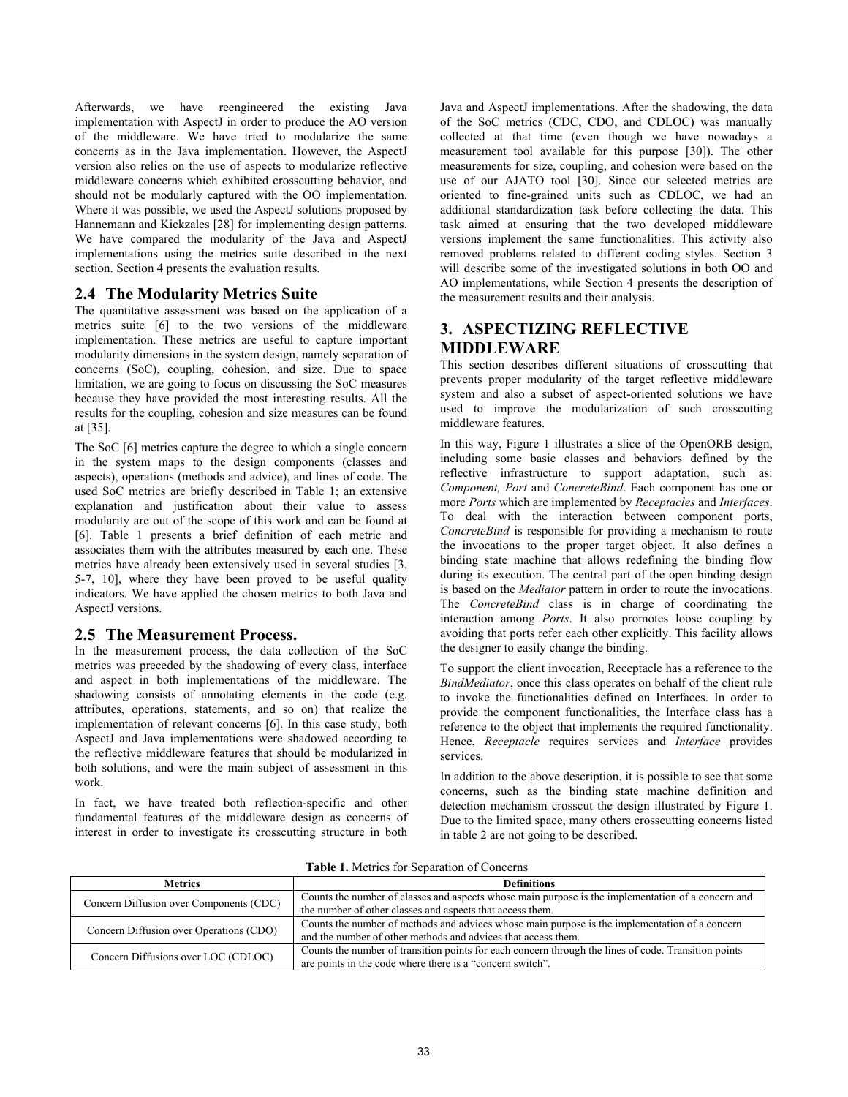Afterwards, we have reengineered the existing Java implementation with AspectJ in order to produce the AO version of the middleware. We have tried to modularize the same concerns as in the Java implementation. However, the AspectJ version also relies on the use of aspects to modularize reflective middleware concerns which exhibited crosscutting behavior, and should not be modularly captured with the OO implementation. Where it was possible, we used the AspectJ solutions proposed by Hannemann and Kickzales [28] for implementing design patterns. We have compared the modularity of the Java and AspectJ implementations using the metrics suite described in the next section. Section 4 presents the evaluation results.

### **2.4 The Modularity Metrics Suite**

The quantitative assessment was based on the application of a metrics suite [6] to the two versions of the middleware implementation. These metrics are useful to capture important modularity dimensions in the system design, namely separation of concerns (SoC), coupling, cohesion, and size. Due to space limitation, we are going to focus on discussing the SoC measures because they have provided the most interesting results. All the results for the coupling, cohesion and size measures can be found at [35].

The SoC [6] metrics capture the degree to which a single concern in the system maps to the design components (classes and aspects), operations (methods and advice), and lines of code. The used SoC metrics are briefly described in Table 1; an extensive explanation and justification about their value to assess modularity are out of the scope of this work and can be found at [6]. Table 1 presents a brief definition of each metric and associates them with the attributes measured by each one. These metrics have already been extensively used in several studies [3, 5-7, 10], where they have been proved to be useful quality indicators. We have applied the chosen metrics to both Java and AspectJ versions.

#### **2.5 The Measurement Process.**

In the measurement process, the data collection of the SoC metrics was preceded by the shadowing of every class, interface and aspect in both implementations of the middleware. The shadowing consists of annotating elements in the code (e.g. attributes, operations, statements, and so on) that realize the implementation of relevant concerns [6]. In this case study, both AspectJ and Java implementations were shadowed according to the reflective middleware features that should be modularized in both solutions, and were the main subject of assessment in this work.

In fact, we have treated both reflection-specific and other fundamental features of the middleware design as concerns of interest in order to investigate its crosscutting structure in both

Java and AspectJ implementations. After the shadowing, the data of the SoC metrics (CDC, CDO, and CDLOC) was manually collected at that time (even though we have nowadays a measurement tool available for this purpose [30]). The other measurements for size, coupling, and cohesion were based on the use of our AJATO tool [30]. Since our selected metrics are oriented to fine-grained units such as CDLOC, we had an additional standardization task before collecting the data. This task aimed at ensuring that the two developed middleware versions implement the same functionalities. This activity also removed problems related to different coding styles. Section 3 will describe some of the investigated solutions in both OO and AO implementations, while Section 4 presents the description of the measurement results and their analysis.

## **3. ASPECTIZING REFLECTIVE MIDDLEWARE**

This section describes different situations of crosscutting that prevents proper modularity of the target reflective middleware system and also a subset of aspect-oriented solutions we have used to improve the modularization of such crosscutting middleware features.

In this way, Figure 1 illustrates a slice of the OpenORB design, including some basic classes and behaviors defined by the reflective infrastructure to support adaptation, such as: *Component, Port* and *ConcreteBind*. Each component has one or more *Ports* which are implemented by *Receptacles* and *Interfaces*. To deal with the interaction between component ports, *ConcreteBind* is responsible for providing a mechanism to route the invocations to the proper target object. It also defines a binding state machine that allows redefining the binding flow during its execution. The central part of the open binding design is based on the *Mediator* pattern in order to route the invocations. The *ConcreteBind* class is in charge of coordinating the interaction among *Ports*. It also promotes loose coupling by avoiding that ports refer each other explicitly. This facility allows the designer to easily change the binding.

To support the client invocation, Receptacle has a reference to the *BindMediator*, once this class operates on behalf of the client rule to invoke the functionalities defined on Interfaces. In order to provide the component functionalities, the Interface class has a reference to the object that implements the required functionality. Hence, *Receptacle* requires services and *Interface* provides services.

In addition to the above description, it is possible to see that some concerns, such as the binding state machine definition and detection mechanism crosscut the design illustrated by Figure 1. Due to the limited space, many others crosscutting concerns listed in table 2 are not going to be described.

| <b>Metrics</b>                          | <b>Definitions</b>                                                                                   |  |  |  |  |
|-----------------------------------------|------------------------------------------------------------------------------------------------------|--|--|--|--|
| Concern Diffusion over Components (CDC) | Counts the number of classes and aspects whose main purpose is the implementation of a concern and   |  |  |  |  |
|                                         | the number of other classes and aspects that access them.                                            |  |  |  |  |
| Concern Diffusion over Operations (CDO) | Counts the number of methods and advices whose main purpose is the implementation of a concern       |  |  |  |  |
|                                         | and the number of other methods and advices that access them.                                        |  |  |  |  |
| Concern Diffusions over LOC (CDLOC)     | Counts the number of transition points for each concern through the lines of code. Transition points |  |  |  |  |
|                                         | are points in the code where there is a "concern switch".                                            |  |  |  |  |

**Table 1.** Metrics for Separation of Concerns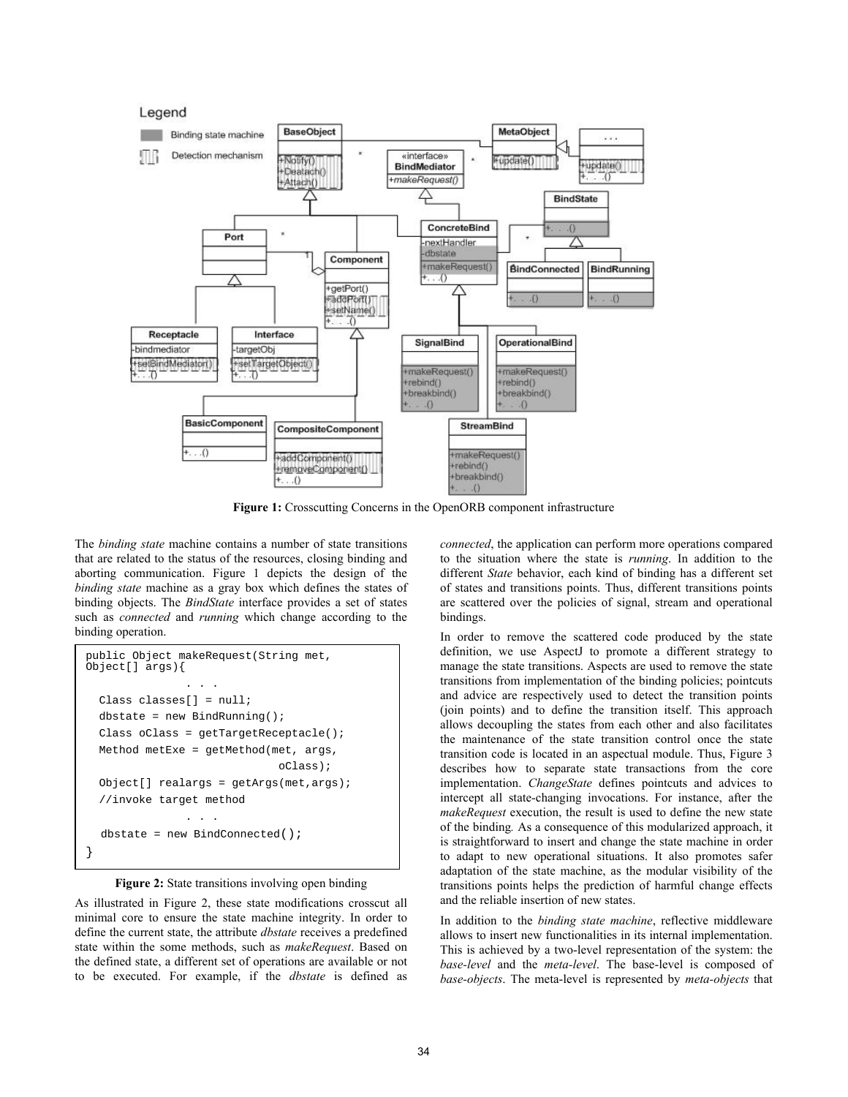

**Figure 1:** Crosscutting Concerns in the OpenORB component infrastructure

The *binding state* machine contains a number of state transitions that are related to the status of the resources, closing binding and aborting communication. Figure 1 depicts the design of the *binding state* machine as a gray box which defines the states of binding objects. The *BindState* interface provides a set of states such as *connected* and *running* which change according to the binding operation.

```
public Object makeRequest(String met, 
Object[] args){ 
 . . . 
   Class classes[] = null; 
  d\text{bstate} = new BindRunning();
   Class oClass = getTargetReceptacle(); 
   Method metExe = getMethod(met, args, 
                               oClass); 
   Object[] realargs = getArgs(met,args); 
   //invoke target method 
                 . . . 
  dbstate = new BindConnected();
}
```
**Figure 2:** State transitions involving open binding

As illustrated in Figure 2, these state modifications crosscut all minimal core to ensure the state machine integrity. In order to define the current state, the attribute *dbstate* receives a predefined state within the some methods, such as *makeRequest*. Based on the defined state, a different set of operations are available or not to be executed. For example, if the *dbstate* is defined as *connected*, the application can perform more operations compared to the situation where the state is *running*. In addition to the different *State* behavior, each kind of binding has a different set of states and transitions points. Thus, different transitions points are scattered over the policies of signal, stream and operational bindings.

In order to remove the scattered code produced by the state definition, we use AspectJ to promote a different strategy to manage the state transitions. Aspects are used to remove the state transitions from implementation of the binding policies; pointcuts and advice are respectively used to detect the transition points (join points) and to define the transition itself. This approach allows decoupling the states from each other and also facilitates the maintenance of the state transition control once the state transition code is located in an aspectual module. Thus, Figure 3 describes how to separate state transactions from the core implementation. *ChangeState* defines pointcuts and advices to intercept all state-changing invocations. For instance, after the *makeRequest* execution, the result is used to define the new state of the binding*.* As a consequence of this modularized approach, it is straightforward to insert and change the state machine in order to adapt to new operational situations. It also promotes safer adaptation of the state machine, as the modular visibility of the transitions points helps the prediction of harmful change effects and the reliable insertion of new states.

In addition to the *binding state machine*, reflective middleware allows to insert new functionalities in its internal implementation. This is achieved by a two-level representation of the system: the *base-level* and the *meta-level*. The base-level is composed of *base-objects*. The meta-level is represented by *meta-objects* that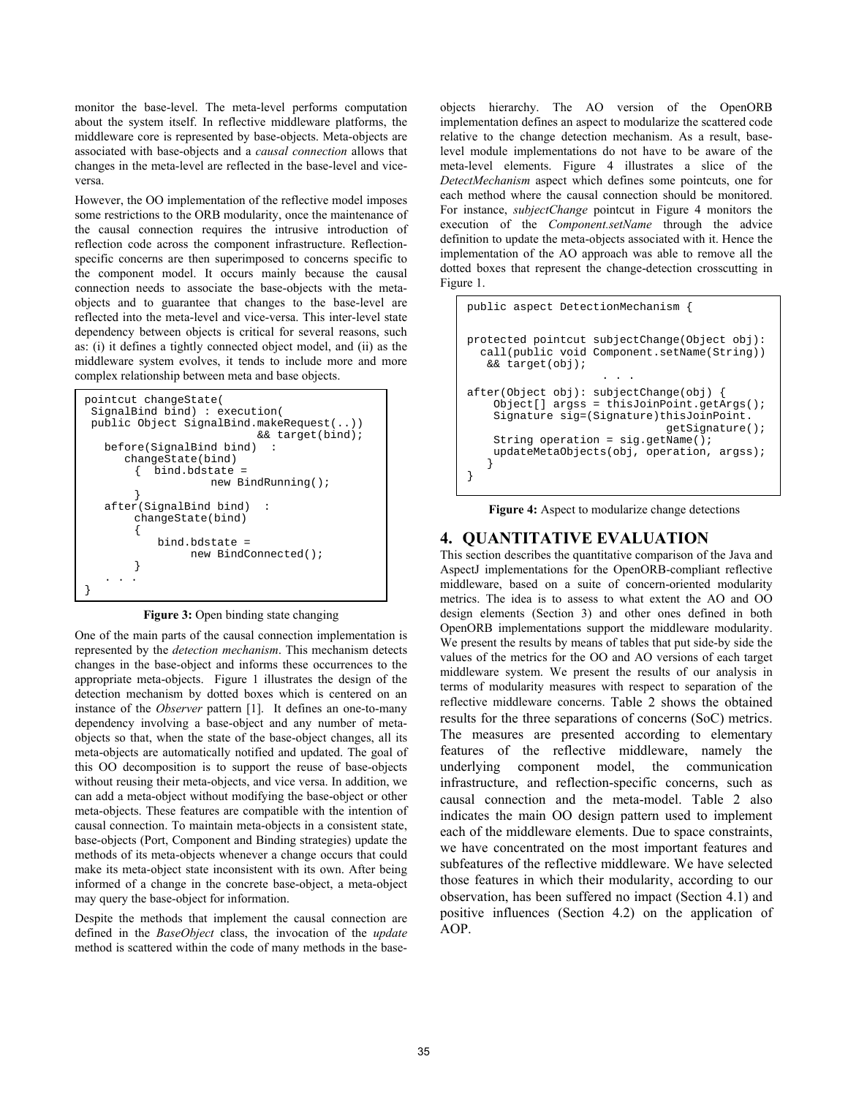monitor the base-level. The meta-level performs computation about the system itself. In reflective middleware platforms, the middleware core is represented by base-objects. Meta-objects are associated with base-objects and a *causal connection* allows that changes in the meta-level are reflected in the base-level and viceversa.

However, the OO implementation of the reflective model imposes some restrictions to the ORB modularity, once the maintenance of the causal connection requires the intrusive introduction of reflection code across the component infrastructure. Reflectionspecific concerns are then superimposed to concerns specific to the component model. It occurs mainly because the causal connection needs to associate the base-objects with the metaobjects and to guarantee that changes to the base-level are reflected into the meta-level and vice-versa. This inter-level state dependency between objects is critical for several reasons, such as: (i) it defines a tightly connected object model, and (ii) as the middleware system evolves, it tends to include more and more complex relationship between meta and base objects.



**Figure 3:** Open binding state changing

One of the main parts of the causal connection implementation is represented by the *detection mechanism*. This mechanism detects changes in the base-object and informs these occurrences to the appropriate meta-objects. Figure 1 illustrates the design of the detection mechanism by dotted boxes which is centered on an instance of the *Observer* pattern [1]. It defines an one-to-many dependency involving a base-object and any number of metaobjects so that, when the state of the base-object changes, all its meta-objects are automatically notified and updated. The goal of this OO decomposition is to support the reuse of base-objects without reusing their meta-objects, and vice versa. In addition, we can add a meta-object without modifying the base-object or other meta-objects. These features are compatible with the intention of causal connection. To maintain meta-objects in a consistent state, base-objects (Port, Component and Binding strategies) update the methods of its meta-objects whenever a change occurs that could make its meta-object state inconsistent with its own. After being informed of a change in the concrete base-object, a meta-object may query the base-object for information.

Despite the methods that implement the causal connection are defined in the *BaseObject* class, the invocation of the *update*  method is scattered within the code of many methods in the base-

objects hierarchy. The AO version of the OpenORB implementation defines an aspect to modularize the scattered code relative to the change detection mechanism. As a result, baselevel module implementations do not have to be aware of the meta-level elements. Figure 4 illustrates a slice of the *DetectMechanism* aspect which defines some pointcuts, one for each method where the causal connection should be monitored. For instance, *subjectChange* pointcut in Figure 4 monitors the execution of the *Component.setName* through the advice definition to update the meta-objects associated with it. Hence the implementation of the AO approach was able to remove all the dotted boxes that represent the change-detection crosscutting in Figure 1.

```
public aspect DetectionMechanism { 
protected pointcut subjectChange(Object obj): 
   call(public void Component.setName(String)) 
    && target(obj); 
                      . . . 
after(Object obj): subjectChange(obj) { 
     Object[] argss = thisJoinPoint.getArgs(); 
    Signature sig=(Signature)thisJoinPoint.
                                getSignature(); 
    String operation = sig.getName();
     updateMetaObjects(obj, operation, argss); 
    } 
}
```
Figure 4: Aspect to modularize change detections

## **4. QUANTITATIVE EVALUATION**

This section describes the quantitative comparison of the Java and AspectJ implementations for the OpenORB-compliant reflective middleware, based on a suite of concern-oriented modularity metrics. The idea is to assess to what extent the AO and OO design elements (Section 3) and other ones defined in both OpenORB implementations support the middleware modularity. We present the results by means of tables that put side-by side the values of the metrics for the OO and AO versions of each target middleware system. We present the results of our analysis in terms of modularity measures with respect to separation of the reflective middleware concerns. Table 2 shows the obtained results for the three separations of concerns (SoC) metrics. The measures are presented according to elementary features of the reflective middleware, namely the underlying component model, the communication infrastructure, and reflection-specific concerns, such as causal connection and the meta-model. Table 2 also indicates the main OO design pattern used to implement each of the middleware elements. Due to space constraints, we have concentrated on the most important features and subfeatures of the reflective middleware. We have selected those features in which their modularity, according to our observation, has been suffered no impact (Section 4.1) and positive influences (Section 4.2) on the application of AOP.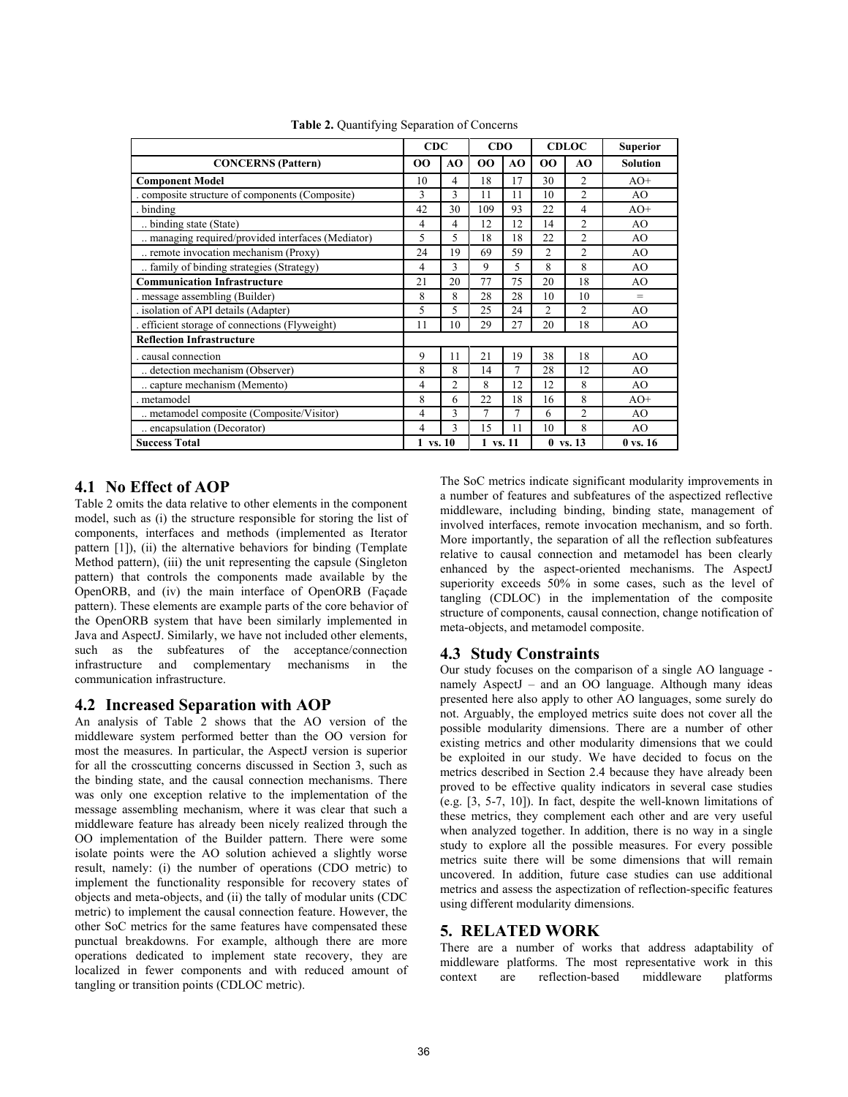|                                                  | CDC             |                | CDO      |    | <b>CDLOC</b>   |                | <b>Superior</b> |
|--------------------------------------------------|-----------------|----------------|----------|----|----------------|----------------|-----------------|
| <b>CONCERNS</b> (Pattern)                        | $\overline{O}O$ | AO             | 00       | AO | 00             | AO             | <b>Solution</b> |
| <b>Component Model</b>                           | 10              | 4              | 18       | 17 | 30             | $\overline{2}$ | $AO+$           |
| . composite structure of components (Composite)  | 3               | 3              | 11       | 11 | 10             | $\overline{c}$ | AO              |
| binding                                          | 42              | 30             | 109      | 93 | 22             | 4              | $AO+$           |
| binding state (State)                            | 4               | 4              | 12       | 12 | 14             | $\overline{c}$ | AO              |
| managing required/provided interfaces (Mediator) | 5               | 5              | 18       | 18 | 22             | $\mathfrak{D}$ | AO              |
| remote invocation mechanism (Proxy)              | 24              | 19             | 69       | 59 | $\overline{2}$ | $\overline{c}$ | AO              |
| family of binding strategies (Strategy)          | 4               | 3              | 9        | 5  | 8              | 8              | AO              |
| <b>Communication Infrastructure</b>              |                 | 20             | 77       | 75 | 20             | 18             | AO              |
| . message assembling (Builder)                   | 8               | 8              | 28       | 28 | 10             | 10             | $=$             |
| . isolation of API details (Adapter)             | 5               | 5              | 25       | 24 | $\overline{c}$ | $\overline{c}$ | AO              |
| efficient storage of connections (Flyweight)     | 11              | 10             | 29       | 27 | 20             | 18             | AO              |
| <b>Reflection Infrastructure</b>                 |                 |                |          |    |                |                |                 |
| . causal connection                              | 9               | 11             | 21       | 19 | 38             | 18             | AO              |
| detection mechanism (Observer)                   | 8               | 8              | 14       | 7  | 28             | 12             | AO              |
| capture mechanism (Memento)                      | 4               | $\overline{c}$ | 8        | 12 | 12             | 8              | AO              |
| . metamodel                                      | 8               | 6              | 22       | 18 | 16             | 8              | $AO+$           |
| metamodel composite (Composite/Visitor)          | 4               | 3              | 7        | 7  | 6              | $\overline{c}$ | AO              |
| encapsulation (Decorator)                        | 4               | 3              | 15       | 11 | 10             | 8              | AO              |
| <b>Success Total</b>                             | $1$ vs. $10$    |                | 1 vs. 11 |    | $0$ vs. 13     |                | $0$ vs. $16$    |

**Table 2.** Quantifying Separation of Concerns

## **4.1 No Effect of AOP**

Table 2 omits the data relative to other elements in the component model, such as (i) the structure responsible for storing the list of components, interfaces and methods (implemented as Iterator pattern [1]), (ii) the alternative behaviors for binding (Template Method pattern), (iii) the unit representing the capsule (Singleton pattern) that controls the components made available by the OpenORB, and (iv) the main interface of OpenORB (Façade pattern). These elements are example parts of the core behavior of the OpenORB system that have been similarly implemented in Java and AspectJ. Similarly, we have not included other elements, such as the subfeatures of the acceptance/connection infrastructure and complementary mechanisms in the communication infrastructure.

## **4.2 Increased Separation with AOP**

An analysis of Table 2 shows that the AO version of the middleware system performed better than the OO version for most the measures. In particular, the AspectJ version is superior for all the crosscutting concerns discussed in Section 3, such as the binding state, and the causal connection mechanisms. There was only one exception relative to the implementation of the message assembling mechanism, where it was clear that such a middleware feature has already been nicely realized through the OO implementation of the Builder pattern. There were some isolate points were the AO solution achieved a slightly worse result, namely: (i) the number of operations (CDO metric) to implement the functionality responsible for recovery states of objects and meta-objects, and (ii) the tally of modular units (CDC metric) to implement the causal connection feature. However, the other SoC metrics for the same features have compensated these punctual breakdowns. For example, although there are more operations dedicated to implement state recovery, they are localized in fewer components and with reduced amount of tangling or transition points (CDLOC metric).

The SoC metrics indicate significant modularity improvements in a number of features and subfeatures of the aspectized reflective middleware, including binding, binding state, management of involved interfaces, remote invocation mechanism, and so forth. More importantly, the separation of all the reflection subfeatures relative to causal connection and metamodel has been clearly enhanced by the aspect-oriented mechanisms. The AspectJ superiority exceeds 50% in some cases, such as the level of tangling (CDLOC) in the implementation of the composite structure of components, causal connection, change notification of meta-objects, and metamodel composite.

## **4.3 Study Constraints**

Our study focuses on the comparison of a single AO language namely AspectJ – and an  $\overrightarrow{OO}$  language. Although many ideas presented here also apply to other AO languages, some surely do not. Arguably, the employed metrics suite does not cover all the possible modularity dimensions. There are a number of other existing metrics and other modularity dimensions that we could be exploited in our study. We have decided to focus on the metrics described in Section 2.4 because they have already been proved to be effective quality indicators in several case studies (e.g. [3, 5-7, 10]). In fact, despite the well-known limitations of these metrics, they complement each other and are very useful when analyzed together. In addition, there is no way in a single study to explore all the possible measures. For every possible metrics suite there will be some dimensions that will remain uncovered. In addition, future case studies can use additional metrics and assess the aspectization of reflection-specific features using different modularity dimensions.

#### **5. RELATED WORK**

There are a number of works that address adaptability of middleware platforms. The most representative work in this context are reflection-based middleware platforms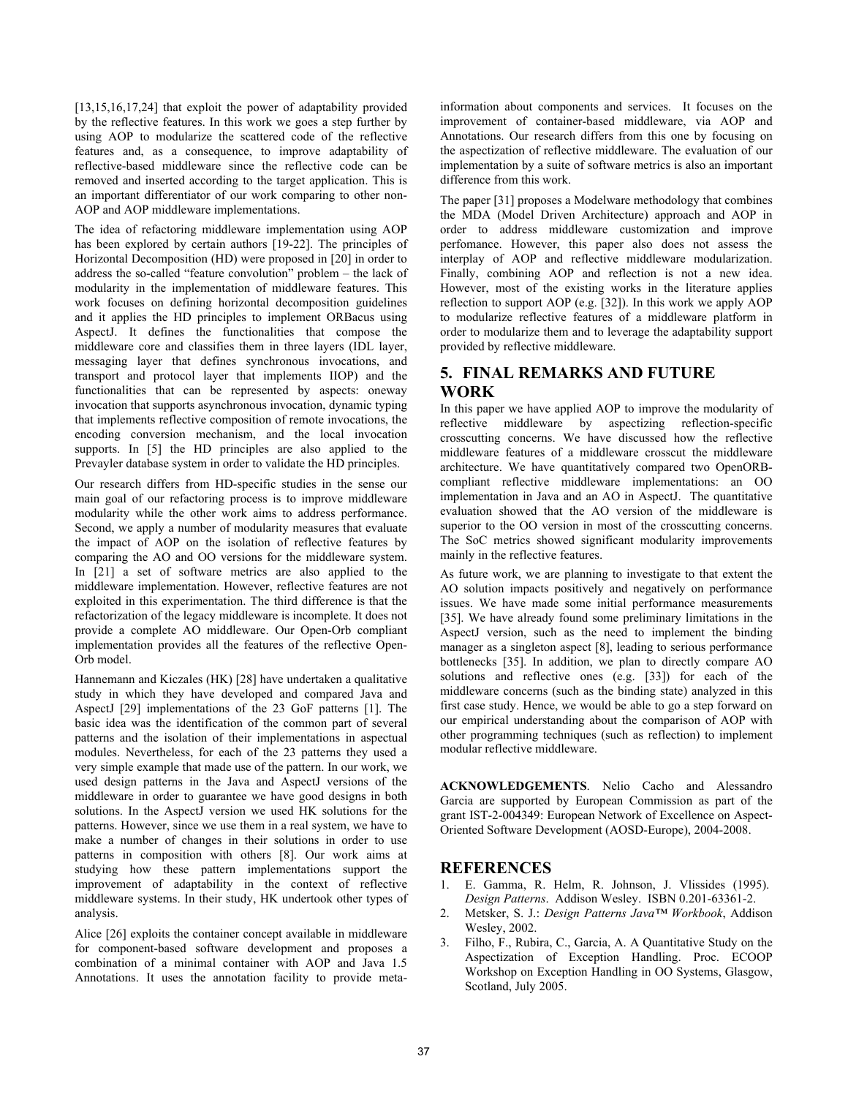[13,15,16,17,24] that exploit the power of adaptability provided by the reflective features. In this work we goes a step further by using AOP to modularize the scattered code of the reflective features and, as a consequence, to improve adaptability of reflective-based middleware since the reflective code can be removed and inserted according to the target application. This is an important differentiator of our work comparing to other non-AOP and AOP middleware implementations.

The idea of refactoring middleware implementation using AOP has been explored by certain authors [19-22]. The principles of Horizontal Decomposition (HD) were proposed in [20] in order to address the so-called "feature convolution" problem – the lack of modularity in the implementation of middleware features. This work focuses on defining horizontal decomposition guidelines and it applies the HD principles to implement ORBacus using AspectJ. It defines the functionalities that compose the middleware core and classifies them in three layers (IDL layer, messaging layer that defines synchronous invocations, and transport and protocol layer that implements IIOP) and the functionalities that can be represented by aspects: oneway invocation that supports asynchronous invocation, dynamic typing that implements reflective composition of remote invocations, the encoding conversion mechanism, and the local invocation supports. In [5] the HD principles are also applied to the Prevayler database system in order to validate the HD principles.

Our research differs from HD-specific studies in the sense our main goal of our refactoring process is to improve middleware modularity while the other work aims to address performance. Second, we apply a number of modularity measures that evaluate the impact of AOP on the isolation of reflective features by comparing the AO and OO versions for the middleware system. In [21] a set of software metrics are also applied to the middleware implementation. However, reflective features are not exploited in this experimentation. The third difference is that the refactorization of the legacy middleware is incomplete. It does not provide a complete AO middleware. Our Open-Orb compliant implementation provides all the features of the reflective Open-Orb model.

Hannemann and Kiczales (HK) [28] have undertaken a qualitative study in which they have developed and compared Java and AspectJ [29] implementations of the 23 GoF patterns [1]. The basic idea was the identification of the common part of several patterns and the isolation of their implementations in aspectual modules. Nevertheless, for each of the 23 patterns they used a very simple example that made use of the pattern. In our work, we used design patterns in the Java and AspectJ versions of the middleware in order to guarantee we have good designs in both solutions. In the AspectJ version we used HK solutions for the patterns. However, since we use them in a real system, we have to make a number of changes in their solutions in order to use patterns in composition with others [8]. Our work aims at studying how these pattern implementations support the improvement of adaptability in the context of reflective middleware systems. In their study, HK undertook other types of analysis.

Alice [26] exploits the container concept available in middleware for component-based software development and proposes a combination of a minimal container with AOP and Java 1.5 Annotations. It uses the annotation facility to provide meta-

information about components and services. It focuses on the improvement of container-based middleware, via AOP and Annotations. Our research differs from this one by focusing on the aspectization of reflective middleware. The evaluation of our implementation by a suite of software metrics is also an important difference from this work.

The paper [31] proposes a Modelware methodology that combines the MDA (Model Driven Architecture) approach and AOP in order to address middleware customization and improve perfomance. However, this paper also does not assess the interplay of AOP and reflective middleware modularization. Finally, combining AOP and reflection is not a new idea. However, most of the existing works in the literature applies reflection to support AOP (e.g. [32]). In this work we apply AOP to modularize reflective features of a middleware platform in order to modularize them and to leverage the adaptability support provided by reflective middleware.

## **5. FINAL REMARKS AND FUTURE WORK**

In this paper we have applied AOP to improve the modularity of reflective middleware by aspectizing reflection-specific crosscutting concerns. We have discussed how the reflective middleware features of a middleware crosscut the middleware architecture. We have quantitatively compared two OpenORBcompliant reflective middleware implementations: an OO implementation in Java and an AO in AspectJ. The quantitative evaluation showed that the AO version of the middleware is superior to the OO version in most of the crosscutting concerns. The SoC metrics showed significant modularity improvements mainly in the reflective features.

As future work, we are planning to investigate to that extent the AO solution impacts positively and negatively on performance issues. We have made some initial performance measurements [35]. We have already found some preliminary limitations in the AspectJ version, such as the need to implement the binding manager as a singleton aspect [8], leading to serious performance bottlenecks [35]. In addition, we plan to directly compare AO solutions and reflective ones (e.g. [33]) for each of the middleware concerns (such as the binding state) analyzed in this first case study. Hence, we would be able to go a step forward on our empirical understanding about the comparison of AOP with other programming techniques (such as reflection) to implement modular reflective middleware.

**ACKNOWLEDGEMENTS**. Nelio Cacho and Alessandro Garcia are supported by European Commission as part of the grant IST-2-004349: European Network of Excellence on Aspect-Oriented Software Development (AOSD-Europe), 2004-2008.

#### **REFERENCES**

- 1. E. Gamma, R. Helm, R. Johnson, J. Vlissides (1995). *Design Patterns*. Addison Wesley. ISBN 0.201-63361-2.
- 2. Metsker, S. J.: *Design Patterns Java™ Workbook*, Addison Wesley, 2002.
- 3. Filho, F., Rubira, C., Garcia, A. A Quantitative Study on the Aspectization of Exception Handling. Proc. ECOOP Workshop on Exception Handling in OO Systems, Glasgow, Scotland, July 2005.